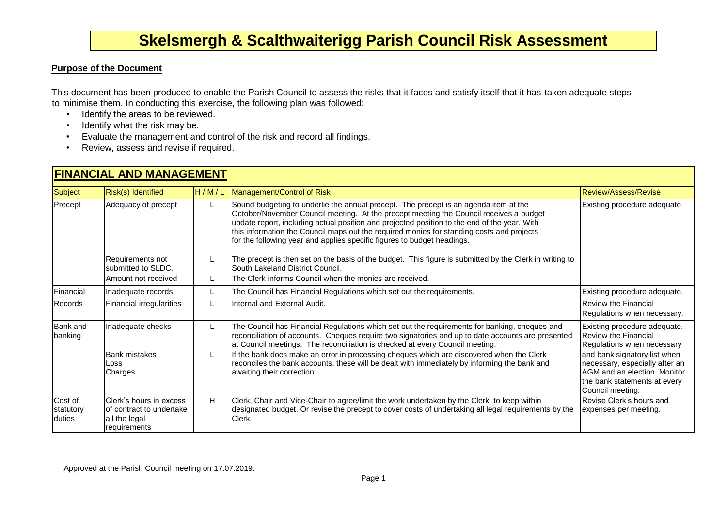#### **Purpose of the Document**

This document has been produced to enable the Parish Council to assess the risks that it faces and satisfy itself that it has taken adequate steps to minimise them. In conducting this exercise, the following plan was followed:

- Identify the areas to be reviewed.
- Identify what the risk may be.
- Evaluate the management and control of the risk and record all findings.
- Review, assess and revise if required.

| <b>FINANCIAL AND MANAGEMENT</b> |                                                                                                |       |                                                                                                                                                                                                                                                                                                                                                                                                                                                                                                              |                                                                                                                                                                                                                                                 |
|---------------------------------|------------------------------------------------------------------------------------------------|-------|--------------------------------------------------------------------------------------------------------------------------------------------------------------------------------------------------------------------------------------------------------------------------------------------------------------------------------------------------------------------------------------------------------------------------------------------------------------------------------------------------------------|-------------------------------------------------------------------------------------------------------------------------------------------------------------------------------------------------------------------------------------------------|
| <b>Subject</b>                  | Risk(s) Identified                                                                             | H/M/L | Management/Control of Risk                                                                                                                                                                                                                                                                                                                                                                                                                                                                                   | Review/Assess/Revise                                                                                                                                                                                                                            |
| Precept                         | Adequacy of precept                                                                            |       | Sound budgeting to underlie the annual precept. The precept is an agenda item at the<br>October/November Council meeting. At the precept meeting the Council receives a budget<br>update report, including actual position and projected position to the end of the year. With<br>this information the Council maps out the required monies for standing costs and projects<br>for the following year and applies specific figures to budget headings.                                                       | Existing procedure adequate                                                                                                                                                                                                                     |
|                                 | Requirements not<br>submitted to SLDC.                                                         |       | The precept is then set on the basis of the budget. This figure is submitted by the Clerk in writing to<br>South Lakeland District Council.                                                                                                                                                                                                                                                                                                                                                                  |                                                                                                                                                                                                                                                 |
|                                 | Amount not received                                                                            | Ы.    | The Clerk informs Council when the monies are received.                                                                                                                                                                                                                                                                                                                                                                                                                                                      |                                                                                                                                                                                                                                                 |
| Financial                       | Inadequate records                                                                             |       | The Council has Financial Regulations which set out the requirements.                                                                                                                                                                                                                                                                                                                                                                                                                                        | Existing procedure adequate.                                                                                                                                                                                                                    |
| Records                         | Financial irregularities                                                                       |       | Internal and External Audit.                                                                                                                                                                                                                                                                                                                                                                                                                                                                                 | <b>Review the Financial</b><br>Regulations when necessary.                                                                                                                                                                                      |
| Bank and<br>banking             | Inadequate checks<br><b>Bank mistakes</b><br>Loss<br>Charges                                   | L.    | The Council has Financial Regulations which set out the requirements for banking, cheques and<br>reconciliation of accounts. Cheques require two signatories and up to date accounts are presented<br>at Council meetings. The reconciliation is checked at every Council meeting.<br>If the bank does make an error in processing cheques which are discovered when the Clerk<br>reconciles the bank accounts, these will be dealt with immediately by informing the bank and<br>awaiting their correction. | Existing procedure adequate.<br><b>Review the Financial</b><br>Regulations when necessary<br>and bank signatory list when<br>necessary, especially after an<br>AGM and an election. Monitor<br>the bank statements at every<br>Council meeting. |
| Cost of<br>statutory<br>duties  | Clerk's hours in excess<br>lof contract to undertake<br>all the legal<br><i>I</i> reauirements | H     | Clerk, Chair and Vice-Chair to agree/limit the work undertaken by the Clerk, to keep within<br>designated budget. Or revise the precept to cover costs of undertaking all legal requirements by the<br>Clerk.                                                                                                                                                                                                                                                                                                | Revise Clerk's hours and<br>expenses per meeting.                                                                                                                                                                                               |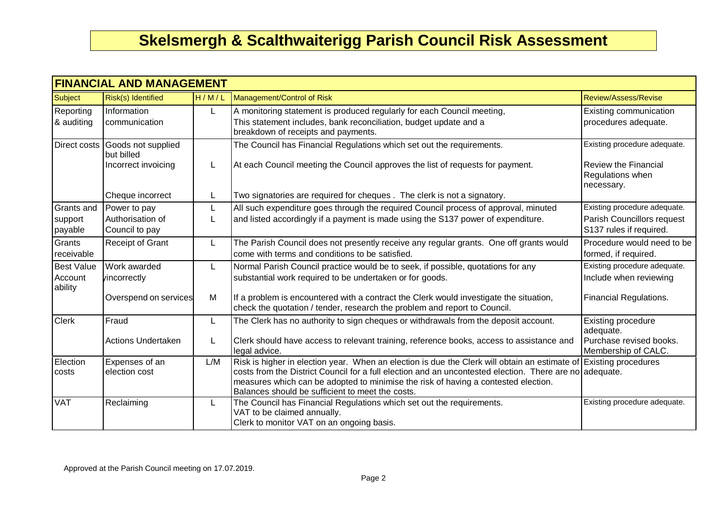| <b>FINANCIAL AND MANAGEMENT</b> |                                               |       |                                                                                                                                                                                               |                                                               |
|---------------------------------|-----------------------------------------------|-------|-----------------------------------------------------------------------------------------------------------------------------------------------------------------------------------------------|---------------------------------------------------------------|
| Subject                         | Risk(s) Identified                            | H/M/L | Management/Control of Risk                                                                                                                                                                    | Review/Assess/Revise                                          |
| Reporting<br>& auditing         | Information<br>communication                  |       | A monitoring statement is produced regularly for each Council meeting,<br>This statement includes, bank reconciliation, budget update and a<br>breakdown of receipts and payments.            | Existing communication<br>procedures adequate.                |
|                                 | Direct costs Goods not supplied<br>but billed |       | The Council has Financial Regulations which set out the requirements.                                                                                                                         | Existing procedure adequate.                                  |
|                                 | Incorrect invoicing                           | L     | At each Council meeting the Council approves the list of requests for payment.                                                                                                                | <b>Review the Financial</b><br>Regulations when<br>necessary. |
|                                 | Cheque incorrect                              |       | Two signatories are required for cheques. The clerk is not a signatory.                                                                                                                       |                                                               |
| Grants and                      | Power to pay                                  |       | All such expenditure goes through the required Council process of approval, minuted                                                                                                           | Existing procedure adequate.                                  |
| support<br>payable              | Authorisation of<br>Council to pay            |       | and listed accordingly if a payment is made using the S137 power of expenditure.                                                                                                              | Parish Councillors request<br>S137 rules if required.         |
| Grants<br>receivable            | <b>Receipt of Grant</b>                       |       | The Parish Council does not presently receive any regular grants. One off grants would<br>come with terms and conditions to be satisfied.                                                     | Procedure would need to be<br>formed, if required.            |
| <b>Best Value</b>               | Work awarded                                  | L     | Normal Parish Council practice would be to seek, if possible, quotations for any                                                                                                              | Existing procedure adequate.                                  |
| Account<br>ability              | vincorrectly                                  |       | substantial work required to be undertaken or for goods.                                                                                                                                      | Include when reviewing                                        |
|                                 | Overspend on services                         | M     | If a problem is encountered with a contract the Clerk would investigate the situation,<br>check the quotation / tender, research the problem and report to Council.                           | <b>Financial Regulations.</b>                                 |
| <b>Clerk</b>                    | Fraud                                         | L.    | The Clerk has no authority to sign cheques or withdrawals from the deposit account.                                                                                                           | Existing procedure<br>adequate.                               |
|                                 | <b>Actions Undertaken</b>                     | L     | Clerk should have access to relevant training, reference books, access to assistance and<br>legal advice.                                                                                     | Purchase revised books.<br>Membership of CALC.                |
| Election                        | Expenses of an                                | L/M   | Risk is higher in election year. When an election is due the Clerk will obtain an estimate of Existing procedures                                                                             |                                                               |
| costs                           | election cost                                 |       | costs from the District Council for a full election and an uncontested election. There are no adequate.<br>measures which can be adopted to minimise the risk of having a contested election. |                                                               |
| <b>VAT</b>                      | Reclaiming                                    |       | Balances should be sufficient to meet the costs.<br>The Council has Financial Regulations which set out the requirements.                                                                     | Existing procedure adequate.                                  |
|                                 |                                               |       | VAT to be claimed annually.<br>Clerk to monitor VAT on an ongoing basis.                                                                                                                      |                                                               |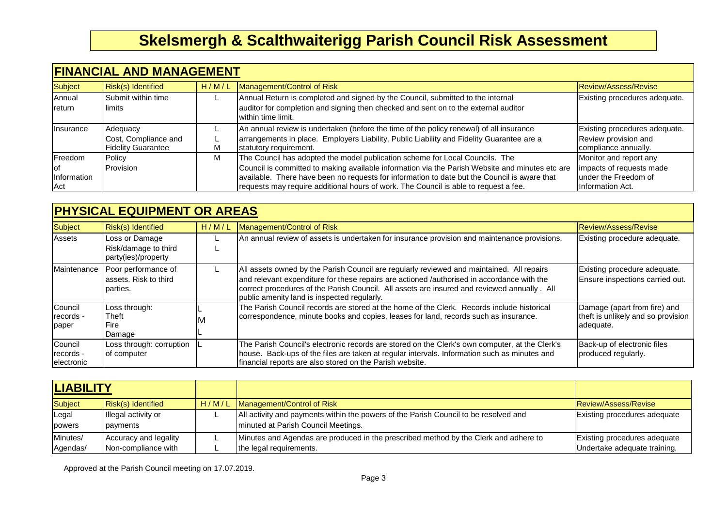| <b>FINANCIAL AND MANAGEMENT</b>             |                                                               |       |                                                                                                                                                                                                                                                                                                                                                                         |                                                                                                        |
|---------------------------------------------|---------------------------------------------------------------|-------|-------------------------------------------------------------------------------------------------------------------------------------------------------------------------------------------------------------------------------------------------------------------------------------------------------------------------------------------------------------------------|--------------------------------------------------------------------------------------------------------|
| <b>Subject</b>                              | Risk(s) Identified                                            | H/M/L | Management/Control of Risk                                                                                                                                                                                                                                                                                                                                              | <b>Review/Assess/Revise</b>                                                                            |
| Annual<br>return                            | Submit within time<br>limits                                  |       | Annual Return is completed and signed by the Council, submitted to the internal<br>auditor for completion and signing then checked and sent on to the external auditor<br>within time limit.                                                                                                                                                                            | Existing procedures adequate.                                                                          |
| Insurance                                   | Adequacy<br>Cost, Compliance and<br><b>Fidelity Guarantee</b> | м     | An annual review is undertaken (before the time of the policy renewal) of all insurance<br>arrangements in place. Employers Liability, Public Liability and Fidelity Guarantee are a<br>statutory requirement.                                                                                                                                                          | Existing procedures adequate.<br>Review provision and<br>compliance annually.                          |
| Freedom<br>lot<br>Information<br><b>Act</b> | Policy<br>Provision                                           | M     | The Council has adopted the model publication scheme for Local Councils. The<br>Council is committed to making available information via the Parish Website and minutes etc are<br>available. There have been no requests for information to date but the Council is aware that<br>requests may require additional hours of work. The Council is able to request a fee. | Monitor and report any<br>impacts of requests made<br>lunder the Freedom of<br><b>Information Act.</b> |

| <b>PHYSICAL EQUIPMENT OR AREAS</b> |                                                               |       |                                                                                                                                                                                                                                                                                                                                       |                                                                                 |
|------------------------------------|---------------------------------------------------------------|-------|---------------------------------------------------------------------------------------------------------------------------------------------------------------------------------------------------------------------------------------------------------------------------------------------------------------------------------------|---------------------------------------------------------------------------------|
| <b>Subject</b>                     | Risk(s) Identified                                            | H/M/L | Management/Control of Risk                                                                                                                                                                                                                                                                                                            | <b>Review/Assess/Revise</b>                                                     |
| Assets                             | Loss or Damage<br>Risk/damage to third<br>party(ies)/property |       | An annual review of assets is undertaken for insurance provision and maintenance provisions.                                                                                                                                                                                                                                          | Existing procedure adequate.                                                    |
| Maintenance                        | Poor performance of<br>assets. Risk to third<br>parties.      |       | All assets owned by the Parish Council are regularly reviewed and maintained. All repairs<br>and relevant expenditure for these repairs are actioned /authorised in accordance with the<br>correct procedures of the Parish Council. All assets are insured and reviewed annually. All<br>public amenity land is inspected regularly. | Existing procedure adequate.<br>Ensure inspections carried out.                 |
| Council<br>records -<br>paper      | Loss through:<br>Theft<br>Fire<br>Damage                      |       | The Parish Council records are stored at the home of the Clerk. Records include historical<br>correspondence, minute books and copies, leases for land, records such as insurance.                                                                                                                                                    | Damage (apart from fire) and<br>theft is unlikely and so provision<br>adequate. |
| Council<br>records -<br>electronic | Loss through: corruption<br>of computer                       |       | The Parish Council's electronic records are stored on the Clerk's own computer, at the Clerk's<br>house. Back-ups of the files are taken at regular intervals. Information such as minutes and<br>financial reports are also stored on the Parish website.                                                                            | Back-up of electronic files<br>produced regularly.                              |

| <b>LIABILITY</b>     |                                              |                                                                                                                             |                                                              |
|----------------------|----------------------------------------------|-----------------------------------------------------------------------------------------------------------------------------|--------------------------------------------------------------|
| <b>Subject</b>       | <b>Risk(s)</b> Identified                    | H / M / L   Management/Control of Risk                                                                                      | <b>Review/Assess/Revise</b>                                  |
| Legal<br>powers      | Illegal activity or<br>payments              | All activity and payments within the powers of the Parish Council to be resolved and<br>minuted at Parish Council Meetings. | Existing procedures adequate                                 |
| Minutes/<br>Agendas/ | Accuracy and legality<br>Non-compliance with | Minutes and Agendas are produced in the prescribed method by the Clerk and adhere to<br>the legal requirements.             | Existing procedures adequate<br>Undertake adequate training. |

Approved at the Parish Council meeting on 17.07.2019.